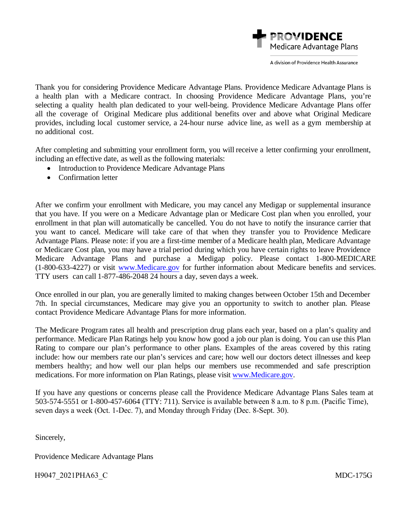

A division of Providence Health Assurance

 Thank you for considering Providence Medicare Advantage Plans. Providence Medicare Advantage Plans is a health plan with a Medicare contract. In choosing Providence Medicare Advantage Plans, you're selecting a quality health plan dedicated to your well-being. Providence Medicare Advantage Plans offer all the coverage of Original Medicare plus additional benefits over and above what Original Medicare provides, including local customer service, a 24-hour nurse advice line, as well as a gym membership at no additional cost.

 After completing and submitting your enrollment form, you will receive a letter confirming your enrollment, including an effective date, as well as the following materials:

- Introduction to Providence Medicare Advantage Plans
- Confirmation letter

 or Medicare Cost plan, you may have a trial period during which you have certain rights to leave Providence After we confirm your enrollment with Medicare, you may cancel any Medigap or supplemental insurance that you have. If you were on a Medicare Advantage plan or Medicare Cost plan when you enrolled, your enrollment in that plan will automatically be cancelled. You do not have to notify the insurance carrier that you want to cancel. Medicare will take care of that when they transfer you to Providence Medicare Advantage Plans. Please note: if you are a first-time member of a Medicare health plan, Medicare Advantage Medicare Advantage Plans and purchase a Medigap policy. Please contact 1-800-MEDICARE (1-800-633-4227) or visi[t www.Medicare.gov f](http://www.medicare.gov)or further information about Medicare benefits and services. TTY users can call 1-877-486-2048 24 hours a day, seven days a week.

 Once enrolled in our plan, you are generally limited to making changes between October 15th and December contact Providence Medicare Advantage Plans for more information. 7th. In special circumstances, Medicare may give you an opportunity to switch to another plan. Please

 The Medicare Program rates all health and prescription drug plans each year, based on a plan's quality and performance. Medicare Plan Ratings help you know how good a job our plan is doing. You can use this Plan members healthy; and how well our plan helps our members use recommended and safe prescription Rating to compare our plan's performance to other plans. Examples of the areas covered by this rating include: how our members rate our plan's services and care; how well our doctors detect illnesses and keep medications. For more information on Plan Ratings, please visit [www.Medicare.gov.](http://www.medicare.gov/) 

 If you have any questions or concerns please call the Providence Medicare Advantage Plans Sales team at 503-574-5551 or 1-800-457-6064 (TTY: 711). Service is available between 8 a.m. to 8 p.m. (Pacific Time), seven days a week (Oct. 1-Dec. 7), and Monday through Friday (Dec. 8-Sept. 30).

Sincerely,

Providence Medicare Advantage Plans

H9047\_2021PHA63\_C MDC-175G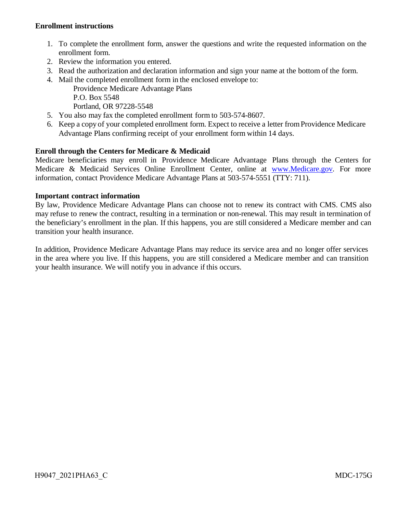## **Enrollment instructions**

- 1. To complete the enrollment form, answer the questions and write the requested information on the enrollment form.
- 2. Review the information you entered.
- 3. Read the authorization and declaration information and sign your name at the bottom of the form.
- 4. Mail the completed enrollment form in the enclosed envelope to: Providence Medicare Advantage Plans P.O. Box 5548 Portland, OR 97228-5548
- 5. You also may fax the completed enrollment form to 503-574-8607.
- 6. Keep a copy of your completed enrollment form. Expect to receive a letter from Providence Medicare Advantage Plans confirming receipt of your enrollment form within 14 days.

## **Enroll through the Centers for Medicare & Medicaid**

 Medicare beneficiaries may enroll in Providence Medicare Advantage Plans through the Centers for Medicare & Medicaid Services Online Enrollment Center, online at **WWW.Medicare.gov.** For more information, contact Providence Medicare Advantage Plans at 503-574-5551 (TTY: 711).

## **Important contract information**

 By law, Providence Medicare Advantage Plans can choose not to renew its contract with CMS. CMS also may refuse to renew the contract, resulting in a termination or non-renewal. This may result in termination of the beneficiary's enrollment in the plan. If this happens, you are still considered a Medicare member and can transition your health insurance.

 In addition, Providence Medicare Advantage Plans may reduce its service area and no longer offer services in the area where you live. If this happens, you are still considered a Medicare member and can transition your health insurance. We will notify you in advance if this occurs.